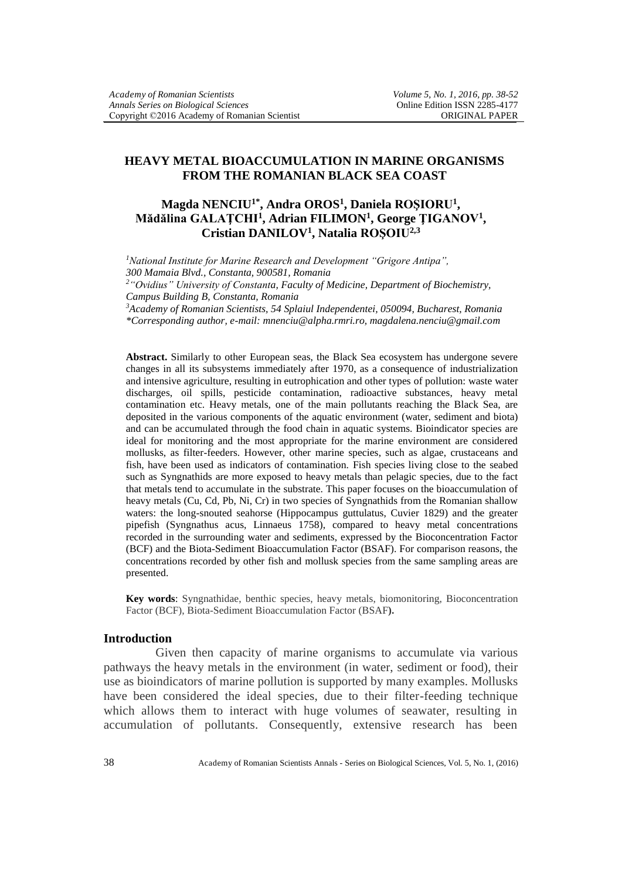# **HEAVY METAL BIOACCUMULATION IN MARINE ORGANISMS FROM THE ROMANIAN BLACK SEA COAST**

# **Magda NENCIU1\*, Andra OROS<sup>1</sup> , Daniela ROŞIORU<sup>1</sup> , Mădălina GALAŢCHI<sup>1</sup> , Adrian FILIMON<sup>1</sup> , George ŢIGANOV<sup>1</sup> , Cristian DANILOV<sup>1</sup> , Natalia ROŞOIU2,3**

*<sup>1</sup>National Institute for Marine Research and Development "Grigore Antipa", 300 Mamaia Blvd., Constanta, 900581, Romania*

*<sup>2</sup>"Ovidius" University of Constanta, Faculty of Medicine, Department of Biochemistry, Campus Building B, Constanta, Romania*

*<sup>3</sup>Academy of Romanian Scientists, 54 Splaiul Independentei, 050094, Bucharest, Romania \*Corresponding author, e-mail: mnenciu@alpha.rmri.ro, magdalena.nenciu@gmail.com*

**Abstract.** Similarly to other European seas, the Black Sea ecosystem has undergone severe changes in all its subsystems immediately after 1970, as a consequence of industrialization and intensive agriculture, resulting in eutrophication and other types of pollution: waste water discharges, oil spills, pesticide contamination, radioactive substances, heavy metal contamination etc. Heavy metals, one of the main pollutants reaching the Black Sea, are deposited in the various components of the aquatic environment (water, sediment and biota) and can be accumulated through the food chain in aquatic systems. Bioindicator species are ideal for monitoring and the most appropriate for the marine environment are considered mollusks, as filter-feeders. However, other marine species, such as algae, crustaceans and fish, have been used as indicators of contamination. Fish species living close to the seabed such as Syngnathids are more exposed to heavy metals than pelagic species, due to the fact that metals tend to accumulate in the substrate. This paper focuses on the bioaccumulation of heavy metals (Cu, Cd, Pb, Ni, Cr) in two species of Syngnathids from the Romanian shallow waters: the long-snouted seahorse (Hippocampus guttulatus, Cuvier 1829) and the greater pipefish (Syngnathus acus, Linnaeus 1758), compared to heavy metal concentrations recorded in the surrounding water and sediments, expressed by the Bioconcentration Factor (BCF) and the Biota-Sediment Bioaccumulation Factor (BSAF). For comparison reasons, the concentrations recorded by other fish and mollusk species from the same sampling areas are presented.

**Key words**: Syngnathidae, benthic species, heavy metals, biomonitoring, Bioconcentration Factor (BCF), Biota-Sediment Bioaccumulation Factor (BSAF**).**

## **Introduction**

Given then capacity of marine organisms to accumulate via various pathways the heavy metals in the environment (in water, sediment or food), their use as bioindicators of marine pollution is supported by many examples. Mollusks have been considered the ideal species, due to their filter-feeding technique which allows them to interact with huge volumes of seawater, resulting in accumulation of pollutants. Consequently, extensive research has been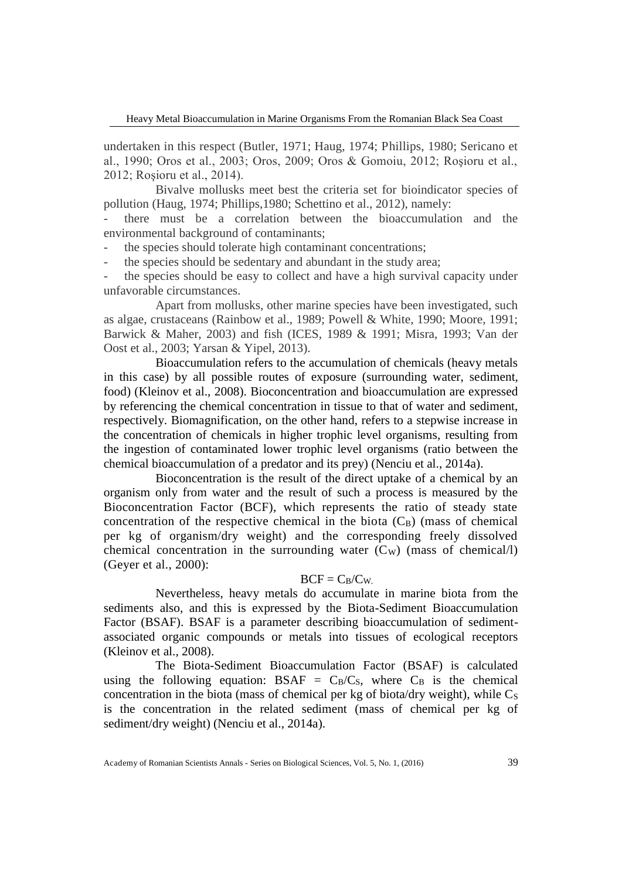Heavy Metal Bioaccumulation in Marine Organisms From the Romanian Black Sea Coast

undertaken in this respect (Butler, 1971; Haug, 1974; Phillips, 1980; Sericano et al., 1990; Oros et al., 2003; Oros, 2009; Oros & Gomoiu, 2012; Roşioru et al., 2012; Roşioru et al., 2014).

Bivalve mollusks meet best the criteria set for bioindicator species of pollution (Haug, 1974; Phillips,1980; Schettino et al., 2012), namely:

there must be a correlation between the bioaccumulation and the environmental background of contaminants;

the species should tolerate high contaminant concentrations;

the species should be sedentary and abundant in the study area;

the species should be easy to collect and have a high survival capacity under unfavorable circumstances.

Apart from mollusks, other marine species have been investigated, such as algae, crustaceans (Rainbow et al., 1989; Powell & White, 1990; Moore, 1991; Barwick & Maher, 2003) and fish (ICES, 1989 & 1991; Misra, 1993; Van der Oost et al., 2003; Yarsan & Yipel, 2013).

Bioaccumulation refers to the accumulation of chemicals (heavy metals in this case) by all possible routes of exposure (surrounding water, sediment, food) (Kleinov et al., 2008). Bioconcentration and bioaccumulation are expressed by referencing the chemical concentration in tissue to that of water and sediment, respectively. Biomagnification, on the other hand, refers to a stepwise increase in the concentration of chemicals in higher trophic level organisms, resulting from the ingestion of contaminated lower trophic level organisms (ratio between the chemical bioaccumulation of a predator and its prey) (Nenciu et al., 2014a).

Bioconcentration is the result of the direct uptake of a chemical by an organism only from water and the result of such a process is measured by the Bioconcentration Factor (BCF), which represents the ratio of steady state concentration of the respective chemical in the biota  $(C_B)$  (mass of chemical per kg of organism/dry weight) and the corresponding freely dissolved chemical concentration in the surrounding water  $(C_W)$  (mass of chemical/l) (Geyer et al., 2000):

## $BCF = C_B/C_W$ .

Nevertheless, heavy metals do accumulate in marine biota from the sediments also, and this is expressed by the Biota-Sediment Bioaccumulation Factor (BSAF). BSAF is a parameter describing bioaccumulation of sedimentassociated organic compounds or metals into tissues of ecological receptors (Kleinov et al., 2008).

The Biota-Sediment Bioaccumulation Factor (BSAF) is calculated using the following equation:  $BSAF = C_B/C_S$ , where  $C_B$  is the chemical concentration in the biota (mass of chemical per kg of biota/dry weight), while  $C_s$ is the concentration in the related sediment (mass of chemical per kg of sediment/dry weight) (Nenciu et al., 2014a).

Academy of Romanian Scientists Annals - Series on Biological Sciences, Vol. 5, No. 1, (2016) 39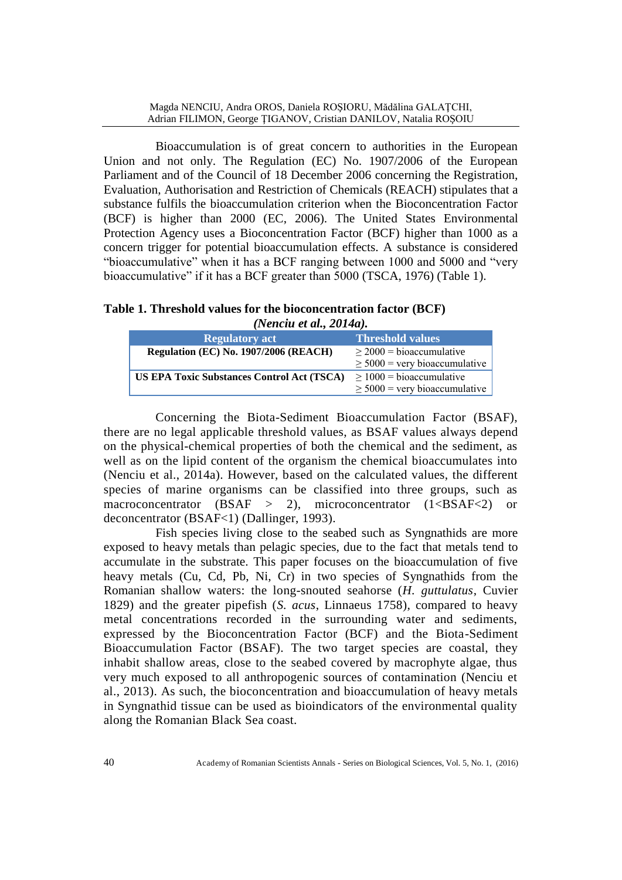Bioaccumulation is of great concern to authorities in the European Union and not only. The Regulation (EC) No. 1907/2006 of the European Parliament and of the Council of 18 December 2006 concerning the Registration, Evaluation, Authorisation and Restriction of Chemicals (REACH) stipulates that a substance fulfils the bioaccumulation criterion when the Bioconcentration Factor (BCF) is higher than 2000 (EC, 2006). The United States Environmental Protection Agency uses a Bioconcentration Factor (BCF) higher than 1000 as a concern trigger for potential bioaccumulation effects. A substance is considered "bioaccumulative" when it has a BCF ranging between 1000 and 5000 and "very bioaccumulative" if it has a BCF greater than 5000 (TSCA, 1976) (Table 1).

**Table 1. Threshold values for the bioconcentration factor (BCF)**  *(Nenciu et al., 2014a).*

| <b>Regulatory act</b>                             | Threshold values                   |
|---------------------------------------------------|------------------------------------|
| <b>Regulation (EC) No. 1907/2006 (REACH)</b>      | $>$ 2000 = bioaccumulative         |
|                                                   | $\geq$ 5000 = very bioaccumulative |
| <b>US EPA Toxic Substances Control Act (TSCA)</b> | $\geq 1000$ = bioaccumulative      |
|                                                   | $\geq$ 5000 = very bioaccumulative |

Concerning the Biota-Sediment Bioaccumulation Factor (BSAF), there are no legal applicable threshold values, as BSAF values always depend on the physical-chemical properties of both the chemical and the sediment, as well as on the lipid content of the organism the chemical bioaccumulates into (Nenciu et al., 2014a). However, based on the calculated values, the different species of marine organisms can be classified into three groups, such as macroconcentrator (BSAF  $>$  2), microconcentrator (1<BSAF<2) or deconcentrator (BSAF<1) (Dallinger, 1993).

Fish species living close to the seabed such as Syngnathids are more exposed to heavy metals than pelagic species, due to the fact that metals tend to accumulate in the substrate. This paper focuses on the bioaccumulation of five heavy metals (Cu, Cd, Pb, Ni, Cr) in two species of Syngnathids from the Romanian shallow waters: the long-snouted seahorse (*H. guttulatus*, Cuvier 1829) and the greater pipefish (*S. acus*, Linnaeus 1758), compared to heavy metal concentrations recorded in the surrounding water and sediments, expressed by the Bioconcentration Factor (BCF) and the Biota-Sediment Bioaccumulation Factor (BSAF). The two target species are coastal, they inhabit shallow areas, close to the seabed covered by macrophyte algae, thus very much exposed to all anthropogenic sources of contamination (Nenciu et al., 2013). As such, the bioconcentration and bioaccumulation of heavy metals in Syngnathid tissue can be used as bioindicators of the environmental quality along the Romanian Black Sea coast.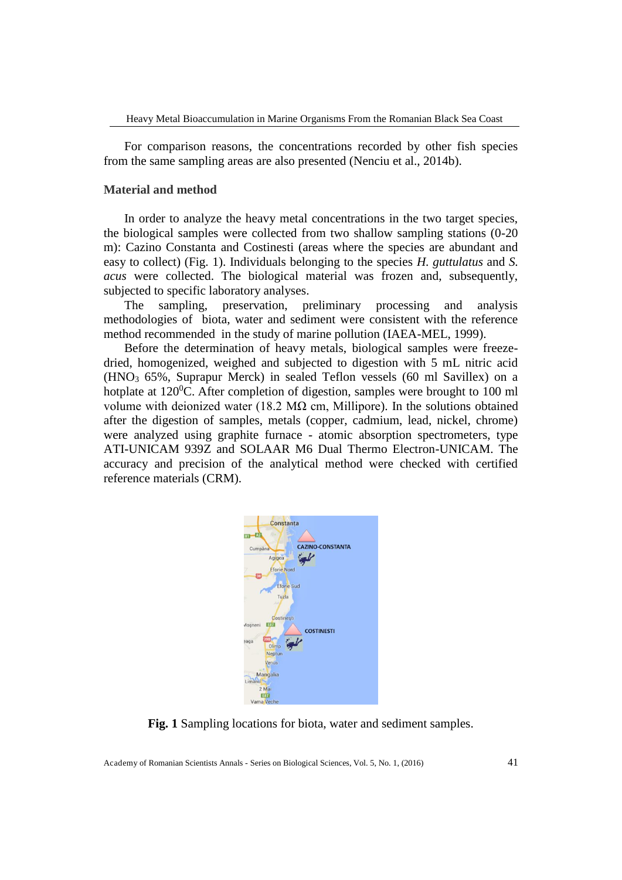For comparison reasons, the concentrations recorded by other fish species from the same sampling areas are also presented (Nenciu et al., 2014b).

#### **Material and method**

In order to analyze the heavy metal concentrations in the two target species, the biological samples were collected from two shallow sampling stations (0-20 m): Cazino Constanta and Costinesti (areas where the species are abundant and easy to collect) (Fig. 1). Individuals belonging to the species *H. guttulatus* and *S. acus* were collected. The biological material was frozen and, subsequently, subjected to specific laboratory analyses.

The sampling, preservation, preliminary processing and analysis methodologies of biota, water and sediment were consistent with the reference method recommended in the study of marine pollution (IAEA-MEL, 1999).

Before the determination of heavy metals, biological samples were freezedried, homogenized, weighed and subjected to digestion with 5 mL nitric acid  $(HNO<sub>3</sub> 65%$ , Suprapur Merck) in sealed Teflon vessels  $(60 \text{ ml} Savilles)$  on a hotplate at  $120^0$ C. After completion of digestion, samples were brought to 100 ml volume with deionized water (18.2 MΩ cm, Millipore). In the solutions obtained after the digestion of samples, metals (copper, cadmium, lead, nickel, chrome) were analyzed using graphite furnace - atomic absorption spectrometers, type ATI-UNICAM 939Z and SOLAAR M6 Dual Thermo Electron-UNICAM. The accuracy and precision of the analytical method were checked with certified reference materials (CRM).



**Fig. 1** Sampling locations for biota, water and sediment samples.

Academy of Romanian Scientists Annals - Series on Biological Sciences, Vol. 5, No. 1, (2016) 41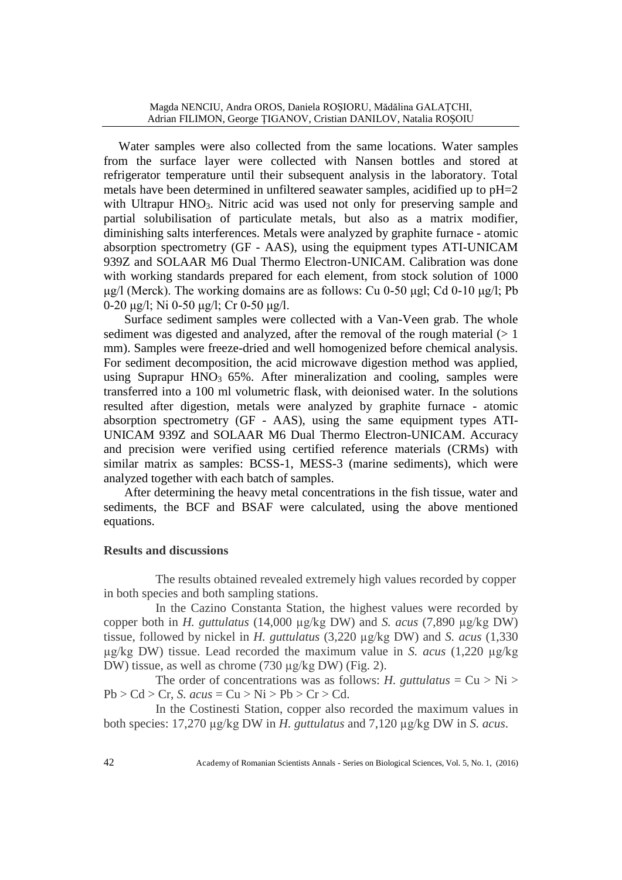Water samples were also collected from the same locations. Water samples from the surface layer were collected with Nansen bottles and stored at refrigerator temperature until their subsequent analysis in the laboratory. Total metals have been determined in unfiltered seawater samples, acidified up to pH=2 with Ultrapur  $HNO<sub>3</sub>$ . Nitric acid was used not only for preserving sample and partial solubilisation of particulate metals, but also as a matrix modifier, diminishing salts interferences. Metals were analyzed by graphite furnace - atomic absorption spectrometry (GF - AAS), using the equipment types ATI-UNICAM 939Z and SOLAAR M6 Dual Thermo Electron-UNICAM. Calibration was done with working standards prepared for each element, from stock solution of 1000 μg/l (Merck). The working domains are as follows: Cu 0-50 μgl; Cd 0-10 μg/l; Pb 0-20 μg/l; Ni 0-50 μg/l; Cr 0-50 μg/l.

Surface sediment samples were collected with a Van-Veen grab. The whole sediment was digested and analyzed, after the removal of the rough material  $(> 1)$ mm). Samples were freeze-dried and well homogenized before chemical analysis. For sediment decomposition, the acid microwave digestion method was applied, using Suprapur HNO<sub>3</sub>  $65\%$ . After mineralization and cooling, samples were transferred into a 100 ml volumetric flask, with deionised water. In the solutions resulted after digestion, metals were analyzed by graphite furnace - atomic absorption spectrometry (GF - AAS), using the same equipment types ATI-UNICAM 939Z and SOLAAR M6 Dual Thermo Electron-UNICAM. Accuracy and precision were verified using certified reference materials (CRMs) with similar matrix as samples: BCSS-1, MESS-3 (marine sediments), which were analyzed together with each batch of samples.

After determining the heavy metal concentrations in the fish tissue, water and sediments, the BCF and BSAF were calculated, using the above mentioned equations.

## **Results and discussions**

The results obtained revealed extremely high values recorded by copper in both species and both sampling stations.

In the Cazino Constanta Station, the highest values were recorded by copper both in *H. guttulatus* (14,000 µg/kg DW) and *S. acus* (7,890 µg/kg DW) tissue, followed by nickel in *H. guttulatus* (3,220 µg/kg DW) and *S. acus* (1,330 µg/kg DW) tissue. Lead recorded the maximum value in *S. acus* (1,220 µg/kg DW) tissue, as well as chrome (730 µg/kg DW) (Fig. 2).

The order of concentrations was as follows: *H. guttulatus* =  $Cu > Ni >$  $Pb > Cd > Cr$ , *S.*  $acus = Cu > Ni > Pb > Cr > Cd$ .

In the Costinesti Station, copper also recorded the maximum values in both species: 17,270 µg/kg DW in *H. guttulatus* and 7,120 µg/kg DW in *S. acus*.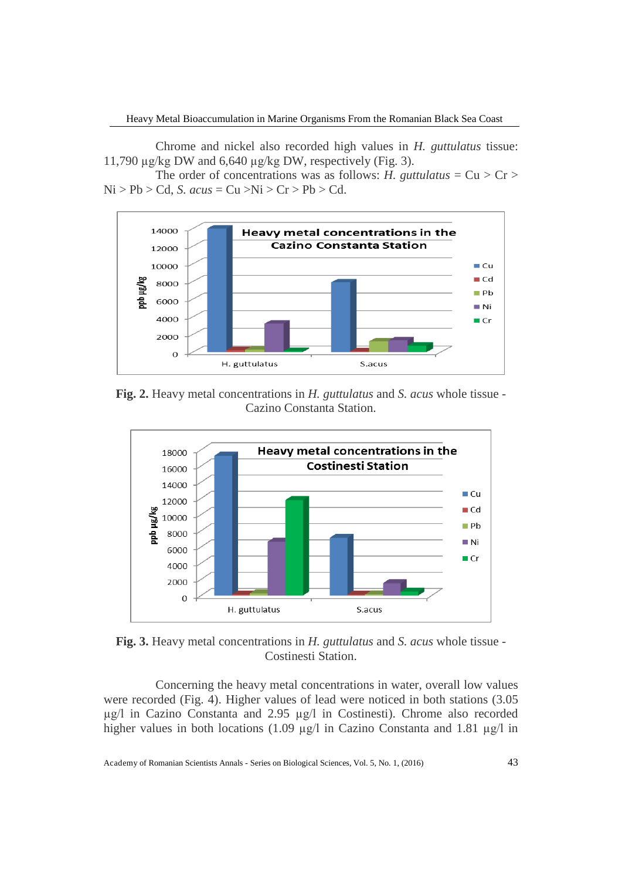Chrome and nickel also recorded high values in *H. guttulatus* tissue: 11,790  $\mu$ g/kg DW and 6,640  $\mu$ g/kg DW, respectively (Fig. 3).

The order of concentrations was as follows: *H. guttulatus* =  $Cu > Cr >$  $Ni > Pb > Cd$ , *S.*  $acus = Cu > Ni > Cr > Pb > Cd$ .



**Fig. 2.** Heavy metal concentrations in *H. guttulatus* and *S. acus* whole tissue - Cazino Constanta Station.



**Fig. 3.** Heavy metal concentrations in *H. guttulatus* and *S. acus* whole tissue - Costinesti Station.

Concerning the heavy metal concentrations in water, overall low values were recorded (Fig. 4). Higher values of lead were noticed in both stations (3.05 µg/l in Cazino Constanta and 2.95 µg/l in Costinesti). Chrome also recorded higher values in both locations (1.09 µg/l in Cazino Constanta and 1.81 µg/l in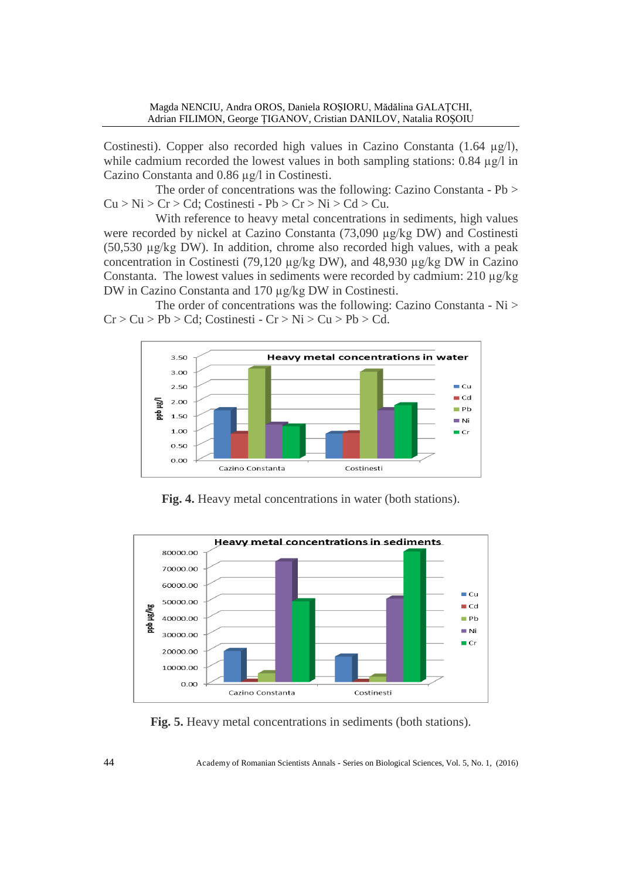Costinesti). Copper also recorded high values in Cazino Constanta  $(1.64 \mu g/l)$ , while cadmium recorded the lowest values in both sampling stations: 0.84  $\mu$ g/l in Cazino Constanta and 0.86 µg/l in Costinesti.

The order of concentrations was the following: Cazino Constanta - Pb >  $Cu > Ni > Cr > Cd$ ; Costinesti - Pb > Cr > Ni > Cd > Cu.

With reference to heavy metal concentrations in sediments, high values were recorded by nickel at Cazino Constanta (73,090 µg/kg DW) and Costinesti (50,530 µg/kg DW). In addition, chrome also recorded high values, with a peak concentration in Costinesti (79,120 µg/kg DW), and 48,930 µg/kg DW in Cazino Constanta. The lowest values in sediments were recorded by cadmium:  $210 \mu g/kg$ DW in Cazino Constanta and 170 µg/kg DW in Costinesti.

The order of concentrations was the following: Cazino Constanta - Ni >  $Cr > Cu > Pb > Cd$ ; Costinesti -  $Cr > Ni > Cu > Pb > Cd$ .



**Fig. 4.** Heavy metal concentrations in water (both stations).



**Fig. 5.** Heavy metal concentrations in sediments (both stations).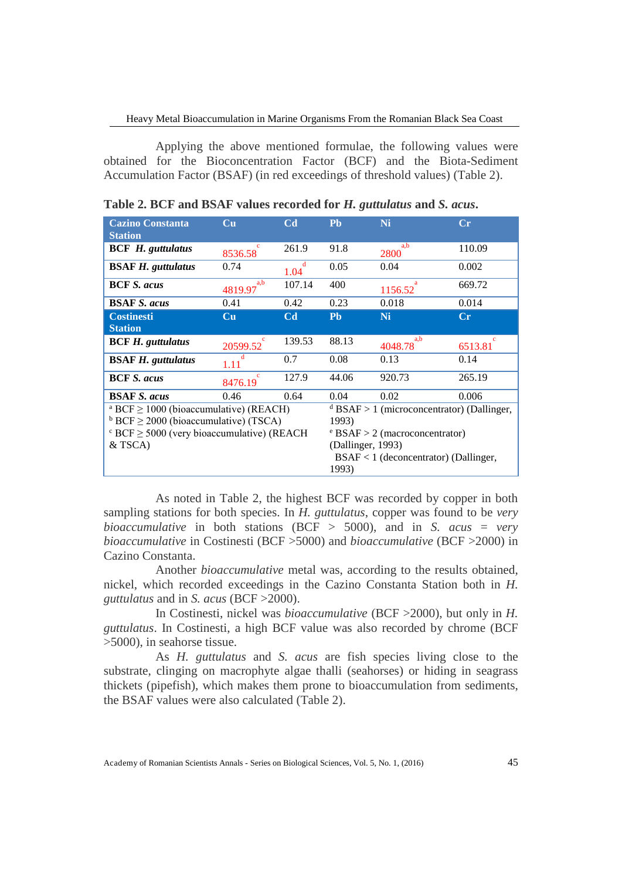Applying the above mentioned formulae, the following values were obtained for the Bioconcentration Factor (BCF) and the Biota-Sediment Accumulation Factor (BSAF) (in red exceedings of threshold values) (Table 2).

| <b>Cazino Constanta</b><br><b>Station</b>                   | Cп                                      | Cd                                      | <b>Pb</b>                                             | <b>Ni</b>      | $\bf Cr$ |  |
|-------------------------------------------------------------|-----------------------------------------|-----------------------------------------|-------------------------------------------------------|----------------|----------|--|
| <b>BCF</b> H. guttulatus                                    | 8536.58                                 | 261.9                                   | 91.8                                                  | a.b<br>2800    | 110.09   |  |
| <b>BSAF H.</b> guttulatus                                   | 0.74                                    | 1.04                                    | 0.05                                                  | 0.04           | 0.002    |  |
| <b>BCF S. acus</b>                                          | a,b<br>4819.97                          | 107.14                                  | 400                                                   | 1156.52        | 669.72   |  |
| <b>BSAF S. acus</b>                                         | 0.41                                    | 0.42                                    | 0.23                                                  | 0.018          | 0.014    |  |
| <b>Costinesti</b><br><b>Station</b>                         | Cu                                      | C <sub>d</sub>                          | <b>Pb</b>                                             | Ni             | $\bf Cr$ |  |
| <b>BCF H.</b> guttulatus                                    | 20599.52                                | 139.53                                  | 88.13                                                 | a.b<br>4048.78 | 6513.81  |  |
| <b>BSAF H.</b> guttulatus                                   | 1.11                                    | 0.7                                     | 0.08                                                  | 0.13           | 0.14     |  |
| <b>BCF S. acus</b>                                          | $\mathbf{c}$<br>8476.19                 | 127.9                                   | 44.06                                                 | 920.73         | 265.19   |  |
| <b>BSAF S. acus</b>                                         | 0.46                                    | 0.64                                    | 0.04                                                  | 0.02           | 0.006    |  |
| <sup>a</sup> BCF $\geq$ 1000 (bioaccumulative) (REACH)      |                                         |                                         | <sup>d</sup> BSAF > 1 (microconcentrator) (Dallinger, |                |          |  |
| $b$ BCF $\geq$ 2000 (bioaccumulative) (TSCA)                |                                         |                                         | 1993)                                                 |                |          |  |
| $\textdegree$ BCF $\geq$ 5000 (very bioaccumulative) (REACH |                                         | $\text{e}$ BSAF > 2 (macroconcentrator) |                                                       |                |          |  |
| $&$ TSCA)<br>(Dallinger, 1993)                              |                                         |                                         |                                                       |                |          |  |
|                                                             | $BSAF < 1$ (deconcentrator) (Dallinger, |                                         |                                                       |                |          |  |
|                                                             |                                         |                                         | 1993)                                                 |                |          |  |

|  |  | Table 2. BCF and BSAF values recorded for H. guttulatus and S. acus. |
|--|--|----------------------------------------------------------------------|
|--|--|----------------------------------------------------------------------|

As noted in Table 2, the highest BCF was recorded by copper in both sampling stations for both species. In *H. guttulatus*, copper was found to be *very bioaccumulative* in both stations (BCF > 5000), and in *S. acus* = *very bioaccumulative* in Costinesti (BCF >5000) and *bioaccumulative* (BCF >2000) in Cazino Constanta.

Another *bioaccumulative* metal was, according to the results obtained, nickel, which recorded exceedings in the Cazino Constanta Station both in *H. guttulatus* and in *S. acus* (BCF >2000).

In Costinesti, nickel was *bioaccumulative* (BCF >2000), but only in *H. guttulatus*. In Costinesti, a high BCF value was also recorded by chrome (BCF >5000), in seahorse tissue.

As *H. guttulatus* and *S. acus* are fish species living close to the substrate, clinging on macrophyte algae thalli (seahorses) or hiding in seagrass thickets (pipefish), which makes them prone to bioaccumulation from sediments, the BSAF values were also calculated (Table 2).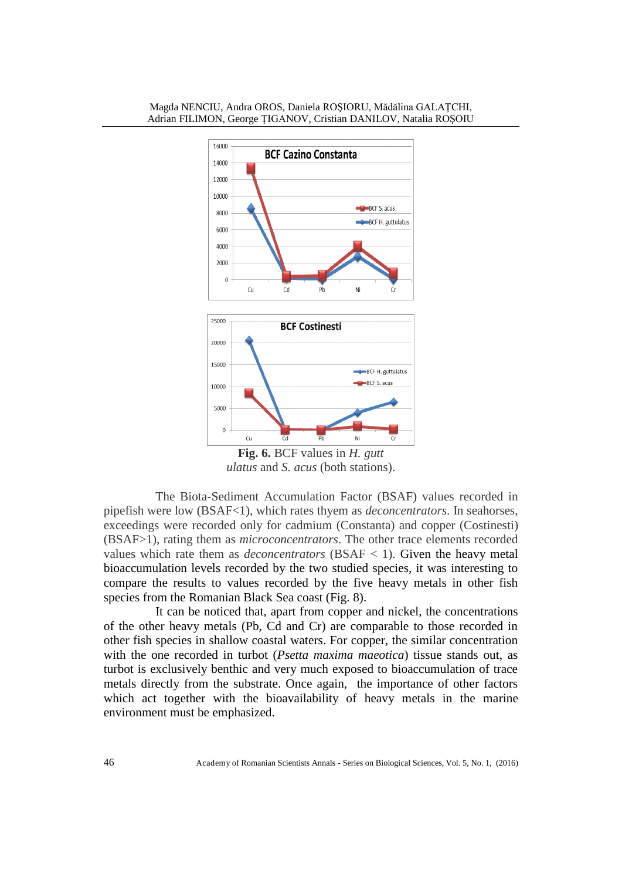

**Fig. 6.** BCF values in *H. gutt ulatus* and *S. acus* (both stations).

The Biota-Sediment Accumulation Factor (BSAF) values recorded in pipefish were low (BSAF<1), which rates thyem as *deconcentrators*. In seahorses, exceedings were recorded only for cadmium (Constanta) and copper (Costinesti) (BSAF>1), rating them as *microconcentrators*. The other trace elements recorded values which rate them as *deconcentrators* ( $BSAF < 1$ ). Given the heavy metal bioaccumulation levels recorded by the two studied species, it was interesting to compare the results to values recorded by the five heavy metals in other fish species from the Romanian Black Sea coast (Fig. 8).

It can be noticed that, apart from copper and nickel, the concentrations of the other heavy metals (Pb, Cd and Cr) are comparable to those recorded in other fish species in shallow coastal waters. For copper, the similar concentration with the one recorded in turbot (*Psetta maxima maeotica*) tissue stands out, as turbot is exclusively benthic and very much exposed to bioaccumulation of trace metals directly from the substrate. Once again, the importance of other factors which act together with the bioavailability of heavy metals in the marine environment must be emphasized.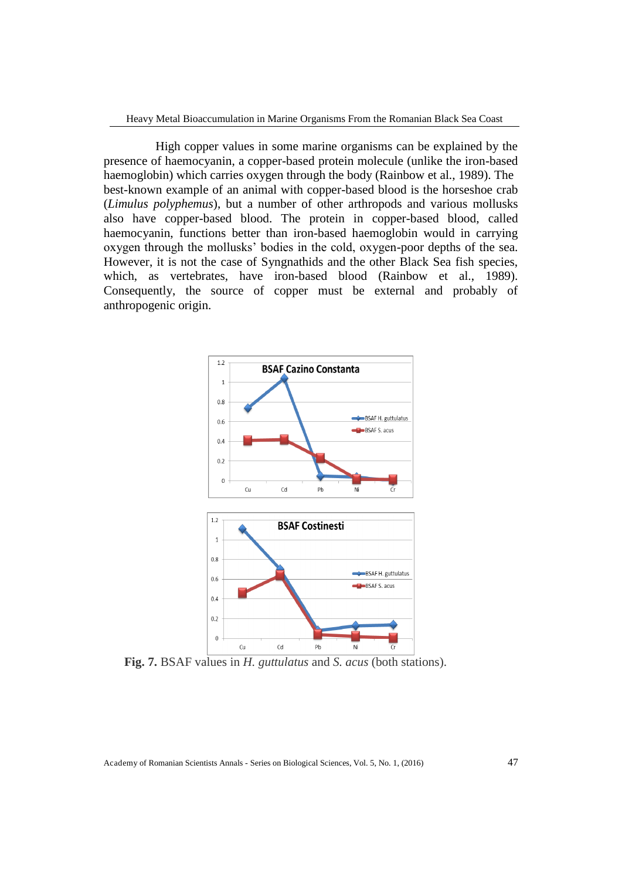High copper values in some marine organisms can be explained by the presence of haemocyanin, a copper-based protein molecule (unlike the iron-based haemoglobin) which carries oxygen through the body (Rainbow et al., 1989). The best-known example of an animal with copper-based blood is the horseshoe crab (*Limulus polyphemus*), but a number of other arthropods and various mollusks also have copper-based blood. The protein in copper-based blood, called haemocyanin, functions better than iron-based haemoglobin would in carrying oxygen through the mollusks' bodies in the cold, oxygen-poor depths of the sea. However, it is not the case of Syngnathids and the other Black Sea fish species, which, as vertebrates, have iron-based blood (Rainbow et al., 1989). Consequently, the source of copper must be external and probably of anthropogenic origin.



**Fig. 7.** BSAF values in *H. guttulatus* and *S. acus* (both stations).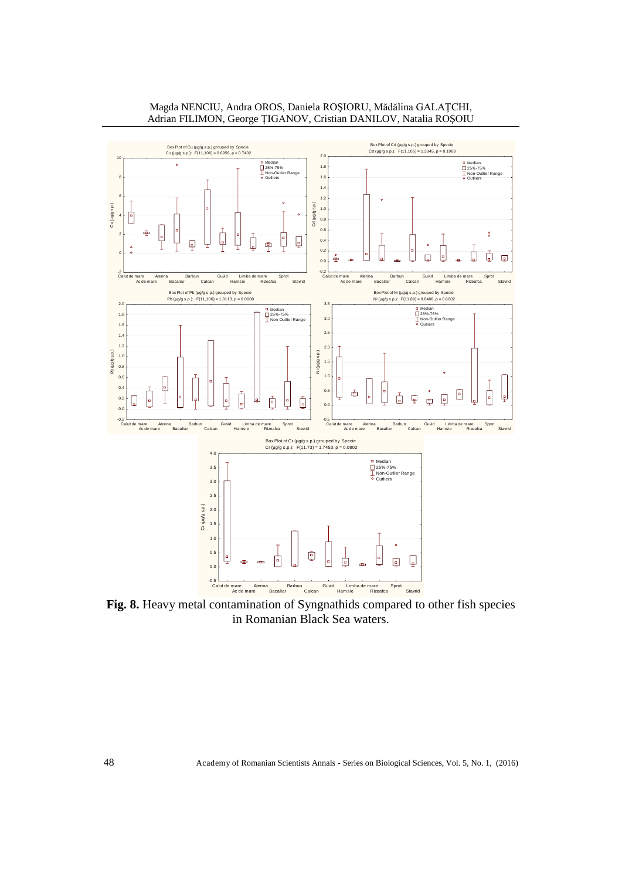

Magda NENCIU, Andra OROS, Daniela ROŞIORU, Mădălina GALAŢCHI, Adrian FILIMON, George ŢIGANOV, Cristian DANILOV, Natalia ROŞOIU

**Fig. 8.** Heavy metal contamination of Syngnathids compared to other fish species in Romanian Black Sea waters.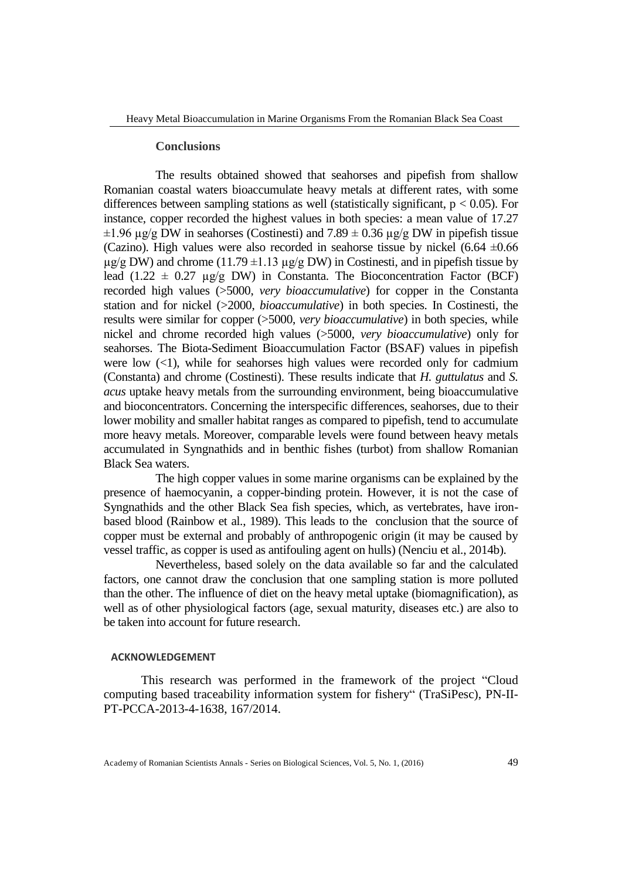#### **Conclusions**

The results obtained showed that seahorses and pipefish from shallow Romanian coastal waters bioaccumulate heavy metals at different rates, with some differences between sampling stations as well (statistically significant,  $p < 0.05$ ). For instance, copper recorded the highest values in both species: a mean value of 17.27  $\pm 1.96 \,\mu$ g/g DW in seahorses (Costinesti) and 7.89  $\pm$  0.36  $\mu$ g/g DW in pipefish tissue (Cazino). High values were also recorded in seahorse tissue by nickel  $(6.64 \pm 0.66$  $\mu$ g/g DW) and chrome (11.79  $\pm$ 1.13  $\mu$ g/g DW) in Costinesti, and in pipefish tissue by lead (1.22  $\pm$  0.27 µg/g DW) in Constanta. The Bioconcentration Factor (BCF) recorded high values (>5000, *very bioaccumulative*) for copper in the Constanta station and for nickel (>2000, *bioaccumulative*) in both species. In Costinesti, the results were similar for copper (>5000, *very bioaccumulative*) in both species, while nickel and chrome recorded high values (>5000, *very bioaccumulative*) only for seahorses. The Biota-Sediment Bioaccumulation Factor (BSAF) values in pipefish were low  $(\leq 1)$ , while for seahorses high values were recorded only for cadmium (Constanta) and chrome (Costinesti). These results indicate that *H. guttulatus* and *S. acus* uptake heavy metals from the surrounding environment, being bioaccumulative and bioconcentrators. Concerning the interspecific differences, seahorses, due to their lower mobility and smaller habitat ranges as compared to pipefish, tend to accumulate more heavy metals. Moreover, comparable levels were found between heavy metals accumulated in Syngnathids and in benthic fishes (turbot) from shallow Romanian Black Sea waters.

The high copper values in some marine organisms can be explained by the presence of haemocyanin, a copper-binding protein. However, it is not the case of Syngnathids and the other Black Sea fish species, which, as vertebrates, have ironbased blood (Rainbow et al., 1989). This leads to the conclusion that the source of copper must be external and probably of anthropogenic origin (it may be caused by vessel traffic, as copper is used as antifouling agent on hulls) (Nenciu et al., 2014b).

Nevertheless, based solely on the data available so far and the calculated factors, one cannot draw the conclusion that one sampling station is more polluted than the other. The influence of diet on the heavy metal uptake (biomagnification), as well as of other physiological factors (age, sexual maturity, diseases etc.) are also to be taken into account for future research.

#### **ACKNOWLEDGEMENT**

This research was performed in the framework of the project "Cloud computing based traceability information system for fishery" (TraSiPesc), PN-II-PT-PCCA-2013-4-1638, 167/2014.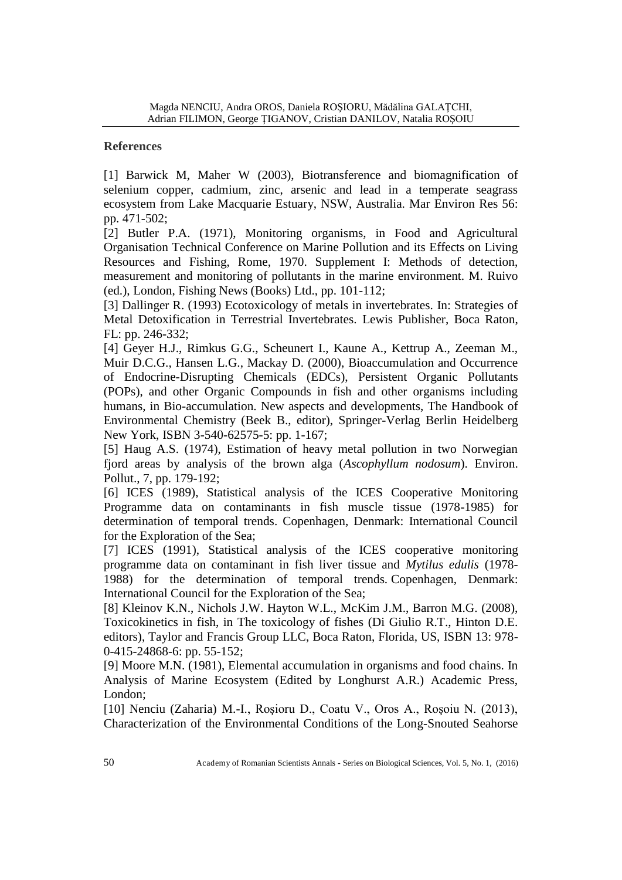# **References**

[1] Barwick M, Maher W (2003), Biotransference and biomagnification of selenium copper, cadmium, zinc, arsenic and lead in a temperate seagrass ecosystem from Lake Macquarie Estuary, NSW, Australia. Mar Environ Res 56: pp. 471-502;

[2] Butler P.A. (1971), Monitoring organisms, in Food and Agricultural Organisation Technical Conference on Marine Pollution and its Effects on Living Resources and Fishing, Rome, 1970. Supplement I: Methods of detection, measurement and monitoring of pollutants in the marine environment. M. Ruivo (ed.), London, Fishing News (Books) Ltd., pp. 101-112;

[3] Dallinger R. (1993) Ecotoxicology of metals in invertebrates. In: Strategies of Metal Detoxification in Terrestrial Invertebrates. Lewis Publisher, Boca Raton, FL: pp. 246-332;

[4] Geyer H.J., Rimkus G.G., Scheunert I., Kaune A., Kettrup A., Zeeman M., Muir D.C.G., Hansen L.G., Mackay D. (2000), Bioaccumulation and Occurrence of Endocrine-Disrupting Chemicals (EDCs), Persistent Organic Pollutants (POPs), and other Organic Compounds in fish and other organisms including humans, in Bio-accumulation. New aspects and developments, The Handbook of Environmental Chemistry (Beek B., editor), Springer-Verlag Berlin Heidelberg New York, ISBN 3-540-62575-5: pp. 1-167;

[5] Haug A.S. (1974), Estimation of heavy metal pollution in two Norwegian fjord areas by analysis of the brown alga (*Ascophyllum nodosum*). Environ. Pollut., 7, pp. 179-192;

[6] ICES (1989), Statistical analysis of the ICES Cooperative Monitoring Programme data on contaminants in fish muscle tissue (1978-1985) for determination of temporal trends. Copenhagen, Denmark: International Council for the Exploration of the Sea;

[7] ICES (1991), Statistical analysis of the ICES cooperative monitoring programme data on contaminant in fish liver tissue and *Mytilus edulis* (1978- 1988) for the determination of temporal trends*.* Copenhagen, Denmark: International Council for the Exploration of the Sea;

[8] Kleinov K.N., Nichols J.W. Hayton W.L., McKim J.M., Barron M.G. (2008), Toxicokinetics in fish, in The toxicology of fishes (Di Giulio R.T., Hinton D.E. editors), Taylor and Francis Group LLC, Boca Raton, Florida, US, ISBN 13: 978- 0-415-24868-6: pp. 55-152;

[9] Moore M.N. (1981), Elemental accumulation in organisms and food chains. In Analysis of Marine Ecosystem (Edited by Longhurst A.R.) Academic Press, London;

[10] Nenciu (Zaharia) M.-I., Roşioru D., Coatu V., Oros A., Roşoiu N. (2013), Characterization of the Environmental Conditions of the Long-Snouted Seahorse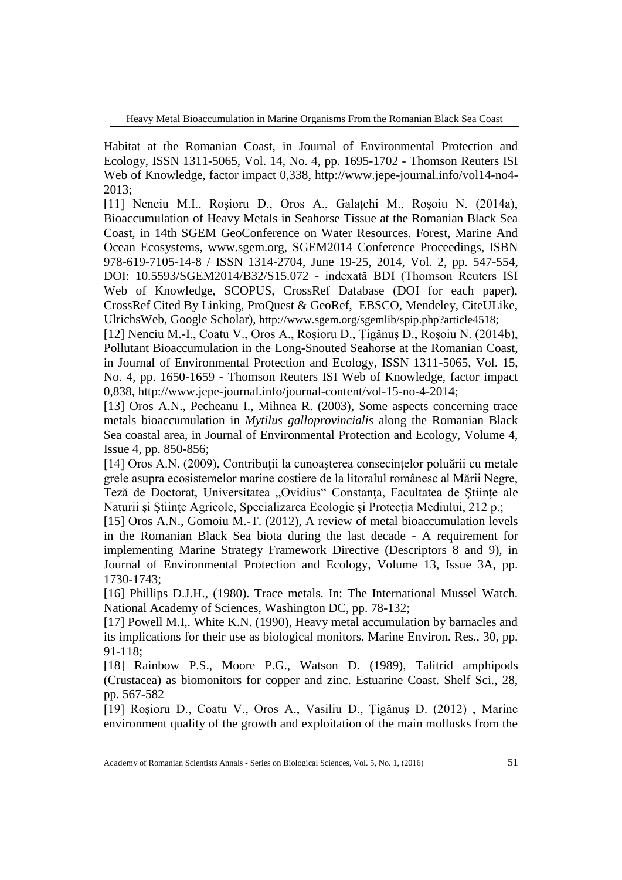Habitat at the Romanian Coast, in Journal of Environmental Protection and Ecology, ISSN 1311-5065, Vol. 14, No. 4, pp. 1695-1702 - Thomson Reuters ISI Web of Knowledge, factor impact 0,338, http://www.jepe-journal.info/vol14-no4- 2013;

[11] Nenciu M.I., Roşioru D., Oros A., Galaţchi M., Roşoiu N. (2014a), Bioaccumulation of Heavy Metals in Seahorse Tissue at the Romanian Black Sea Coast, in 14th SGEM GeoConference on Water Resources. Forest, Marine And Ocean Ecosystems, www.sgem.org, SGEM2014 Conference Proceedings, ISBN 978-619-7105-14-8 / ISSN 1314-2704, June 19-25, 2014, Vol. 2, pp. 547-554, DOI: 10.5593/SGEM2014/B32/S15.072 - indexată BDI (Thomson Reuters ISI Web of Knowledge, SCOPUS, CrossRef Database (DOI for each paper), CrossRef Cited By Linking, ProQuest & GeoRef, EBSCO, Mendeley, CiteULike, UlrichsWeb, Google Scholar), http://www.sgem.org/sgemlib/spip.php?article4518;

[12] Nenciu M.-I., Coatu V., Oros A., Roşioru D., Ţigănuş D., Roşoiu N. (2014b), Pollutant Bioaccumulation in the Long-Snouted Seahorse at the Romanian Coast, in Journal of Environmental Protection and Ecology, ISSN 1311-5065, Vol. 15, No. 4, pp. 1650-1659 - Thomson Reuters ISI Web of Knowledge, factor impact 0,838, http://www.jepe-journal.info/journal-content/vol-15-no-4-2014;

[13] Oros A.N., Pecheanu I., Mihnea R. (2003), Some aspects concerning trace metals bioaccumulation in *Mytilus galloprovincialis* along the Romanian Black Sea coastal area, in Journal of Environmental Protection and Ecology, Volume 4, Issue 4, pp. 850-856;

[14] Oros A.N. (2009), Contribuţii la cunoaşterea consecinţelor poluării cu metale grele asupra ecosistemelor marine costiere de la litoralul românesc al Mării Negre, Teză de Doctorat, Universitatea "Ovidius" Constanța, Facultatea de Științe ale Naturii şi Ştiinţe Agricole, Specializarea Ecologie şi Protecţia Mediului, 212 p.;

[15] Oros A.N., Gomoiu M.-T. (2012), A review of metal bioaccumulation levels in the Romanian Black Sea biota during the last decade - A requirement for implementing Marine Strategy Framework Directive (Descriptors 8 and 9), in Journal of Environmental Protection and Ecology, Volume 13, Issue 3A, pp. 1730-1743;

[16] Phillips D.J.H., (1980). Trace metals. In: The International Mussel Watch. National Academy of Sciences, Washington DC, pp. 78-132;

[17] Powell M.I,. White K.N. (1990), Heavy metal accumulation by barnacles and its implications for their use as biological monitors. Marine Environ. Res., 30, pp. 91-118;

[18] Rainbow P.S., Moore P.G., Watson D. (1989), Talitrid amphipods (Crustacea) as biomonitors for copper and zinc. Estuarine Coast. Shelf Sci., 28, pp. 567-582

[19] Roşioru D., Coatu V., Oros A., Vasiliu D., Ţigănuş D. (2012) , Marine environment quality of the growth and exploitation of the main mollusks from the